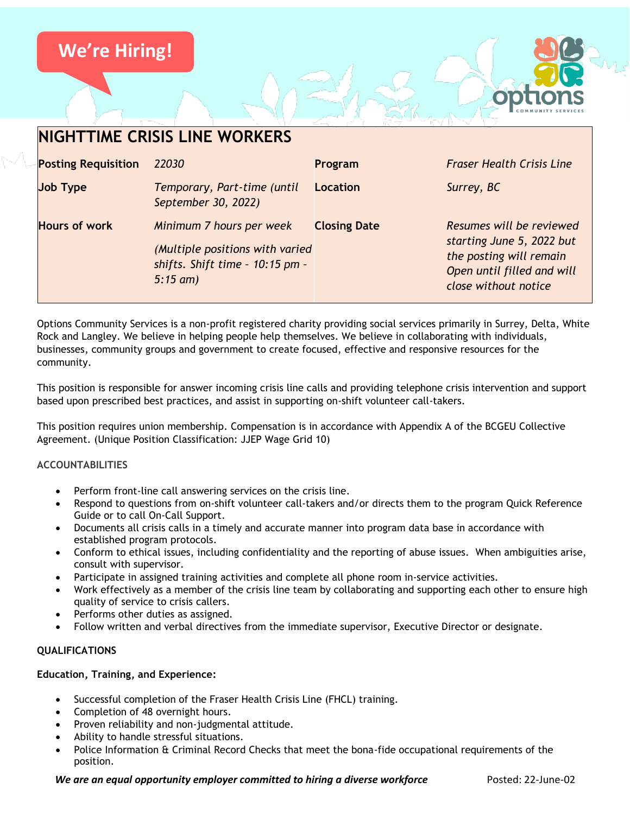# **We're Hiring!**



# **NIGHTTIME CRISIS LINE WORKERS Posting Requisition** *22030* **Program** *Fraser Health Crisis Line* **Job Type** *Temporary, Part-time (until September 30, 2022)* **Location** *Surrey, BC*  **Hours of work** *Minimum 7 hours per week (Multiple positions with varied shifts. Shift time – 10:15 pm – 5:15 am)* **Closing Date** *Resumes will be reviewed starting June 5, 2022 but the posting will remain Open until filled and will close without notice*

Options Community Services is a non-profit registered charity providing social services primarily in Surrey, Delta, White Rock and Langley. We believe in helping people help themselves. We believe in collaborating with individuals, businesses, community groups and government to create focused, effective and responsive resources for the community.

This position is responsible for answer incoming crisis line calls and providing telephone crisis intervention and support based upon prescribed best practices, and assist in supporting on-shift volunteer call-takers.

This position requires union membership. Compensation is in accordance with Appendix A of the BCGEU Collective Agreement. (Unique Position Classification: JJEP Wage Grid 10)

# **ACCOUNTABILITIES**

- Perform front-line call answering services on the crisis line.
- Respond to questions from on-shift volunteer call-takers and/or directs them to the program Quick Reference Guide or to call On-Call Support.
- Documents all crisis calls in a timely and accurate manner into program data base in accordance with established program protocols.
- Conform to ethical issues, including confidentiality and the reporting of abuse issues. When ambiguities arise, consult with supervisor.
- Participate in assigned training activities and complete all phone room in-service activities.
- Work effectively as a member of the crisis line team by collaborating and supporting each other to ensure high quality of service to crisis callers.
- Performs other duties as assigned.
- Follow written and verbal directives from the immediate supervisor, Executive Director or designate.

#### **QUALIFICATIONS**

## **Education, Training, and Experience:**

- Successful completion of the Fraser Health Crisis Line (FHCL) training.
- Completion of 48 overnight hours.
- Proven reliability and non-judgmental attitude.
- Ability to handle stressful situations.
- Police Information & Criminal Record Checks that meet the bona-fide occupational requirements of the position.